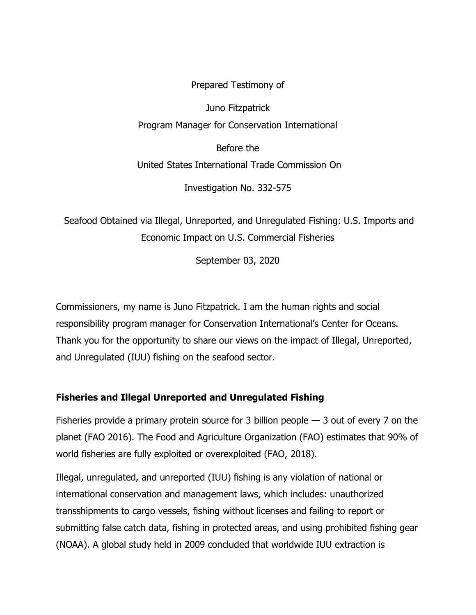Juno Fitzpatrick Program Manager for Conservation International

Prepared Testimony of

Before the United States International Trade Commission On

Investigation No. 332-575

Seafood Obtained via Illegal, Unreported, and Unregulated Fishing: U.S. Imports and Economic Impact on U.S. Commercial Fisheries

September 03, 2020

Commissioners, my name is Juno Fitzpatrick. I am the human rights and social responsibility program manager for Conservation International's Center for Oceans. Thank you for the opportunity to share our views on the impact of Illegal, Unreported, and Unregulated (IUU) fishing on the seafood sector.

# **Fisheries and Illegal Unreported and Unregulated Fishing**

Fisheries provide a primary protein source for 3 billion people  $-$  3 out of every 7 on the planet (FAO 2016). The Food and Agriculture Organization (FAO) estimates that 90% of world fisheries are fully exploited or overexploited (FAO, 2018).

Illegal, unregulated, and unreported (IUU) fishing is any violation of national or international conservation and management laws, which includes: unauthorized transshipments to cargo vessels, fishing without licenses and failing to report or submitting false catch data, fishing in protected areas, and using prohibited fishing gear (NOAA). A global study held in 2009 concluded that worldwide IUU extraction is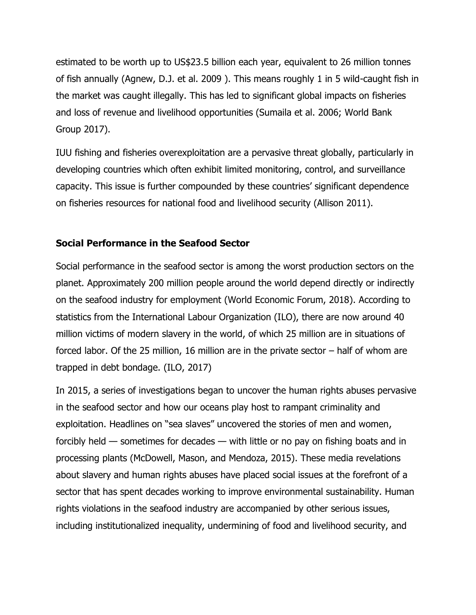estimated to be worth up to US\$23.5 billion each year, equivalent to 26 million tonnes of fish annually (Agnew, D.J. et al. 2009 ). This means roughly 1 in 5 wild-caught fish in the market was caught illegally. This has led to significant global impacts on fisheries and loss of revenue and livelihood opportunities (Sumaila et al. 2006; World Bank Group 2017).

IUU fishing and fisheries overexploitation are a pervasive threat globally, particularly in developing countries which often exhibit limited monitoring, control, and surveillance capacity. This issue is further compounded by these countries' significant dependence on fisheries resources for national food and livelihood security (Allison 2011).

## **Social Performance in the Seafood Sector**

Social performance in the seafood sector is among the worst production sectors on the planet. Approximately 200 million people around the world depend directly or indirectly on the seafood industry for employment (World Economic Forum, 2018). According to statistics from the International Labour Organization (ILO), there are now around 40 million victims of modern slavery in the world, of which 25 million are in situations of forced labor. Of the 25 million, 16 million are in the private sector – half of whom are trapped in debt bondage. (ILO, 2017)

In 2015, a series of investigations began to uncover the human rights abuses pervasive in the seafood sector and how our oceans play host to rampant criminality and exploitation. Headlines on "sea slaves" uncovered the stories of men and women, forcibly held — sometimes for decades — with little or no pay on fishing boats and in processing plants (McDowell, Mason, and Mendoza, 2015). These media revelations about slavery and human rights abuses have placed social issues at the forefront of a sector that has spent decades working to improve environmental sustainability. Human rights violations in the seafood industry are accompanied by other serious issues, including institutionalized inequality, undermining of food and livelihood security, and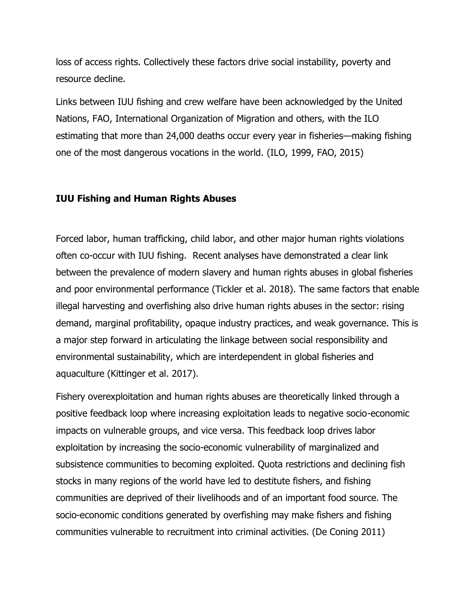loss of access rights. Collectively these factors drive social instability, poverty and resource decline.

Links between IUU fishing and crew welfare have been acknowledged by the United Nations, FAO, International Organization of Migration and others, with the ILO estimating that more than 24,000 deaths occur every year in fisheries—making fishing one of the most dangerous vocations in the world. (ILO, 1999, FAO, 2015)

#### **IUU Fishing and Human Rights Abuses**

Forced labor, human trafficking, child labor, and other major human rights violations often co-occur with IUU fishing. Recent analyses have demonstrated a clear link between the prevalence of modern slavery and human rights abuses in global fisheries and poor environmental performance (Tickler et al. 2018). The same factors that enable illegal harvesting and overfishing also drive human rights abuses in the sector: rising demand, marginal profitability, opaque industry practices, and weak governance. This is a major step forward in articulating the linkage between social responsibility and environmental sustainability, which are interdependent in global fisheries and aquaculture (Kittinger et al. 2017).

Fishery overexploitation and human rights abuses are theoretically linked through a positive feedback loop where increasing exploitation leads to negative socio-economic impacts on vulnerable groups, and vice versa. This feedback loop drives labor exploitation by increasing the socio-economic vulnerability of marginalized and subsistence communities to becoming exploited. Quota restrictions and declining fish stocks in many regions of the world have led to destitute fishers, and fishing communities are deprived of their livelihoods and of an important food source. The socio-economic conditions generated by overfishing may make fishers and fishing communities vulnerable to recruitment into criminal activities. (De Coning 2011)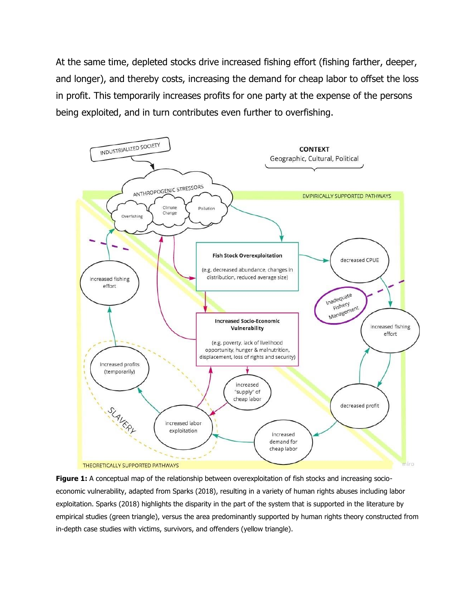At the same time, depleted stocks drive increased fishing effort (fishing farther, deeper, and longer), and thereby costs, increasing the demand for cheap labor to offset the loss in profit. This temporarily increases profits for one party at the expense of the persons being exploited, and in turn contributes even further to overfishing.



Figure 1: A conceptual map of the relationship between overexploitation of fish stocks and increasing socioeconomic vulnerability, adapted from Sparks (2018), resulting in a variety of human rights abuses including labor exploitation. Sparks (2018) highlights the disparity in the part of the system that is supported in the literature by empirical studies (green triangle), versus the area predominantly supported by human rights theory constructed from in-depth case studies with victims, survivors, and offenders (yellow triangle).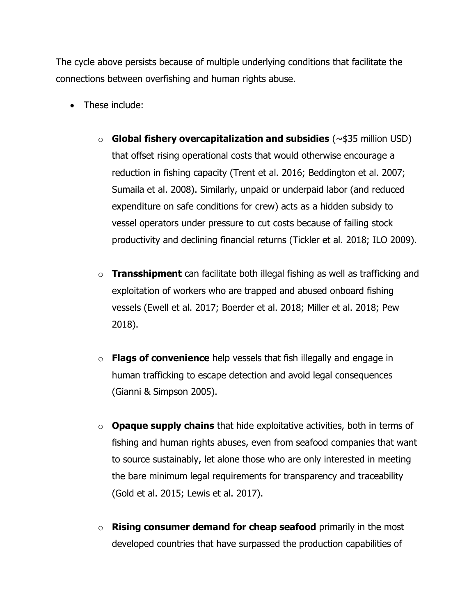The cycle above persists because of multiple underlying conditions that facilitate the connections between overfishing and human rights abuse.

- These include:
	- o **Global fishery overcapitalization and subsidies** (~\$35 million USD) that offset rising operational costs that would otherwise encourage a reduction in fishing capacity (Trent et al. 2016; Beddington et al. 2007; Sumaila et al. 2008). Similarly, unpaid or underpaid labor (and reduced expenditure on safe conditions for crew) acts as a hidden subsidy to vessel operators under pressure to cut costs because of failing stock productivity and declining financial returns (Tickler et al. 2018; ILO 2009).
	- o **Transshipment** can facilitate both illegal fishing as well as trafficking and exploitation of workers who are trapped and abused onboard fishing vessels (Ewell et al. 2017; Boerder et al. 2018; Miller et al. 2018; Pew 2018).
	- o **Flags of convenience** help vessels that fish illegally and engage in human trafficking to escape detection and avoid legal consequences (Gianni & Simpson 2005).
	- o **Opaque supply chains** that hide exploitative activities, both in terms of fishing and human rights abuses, even from seafood companies that want to source sustainably, let alone those who are only interested in meeting the bare minimum legal requirements for transparency and traceability (Gold et al. 2015; Lewis et al. 2017).
	- o **Rising consumer demand for cheap seafood** primarily in the most developed countries that have surpassed the production capabilities of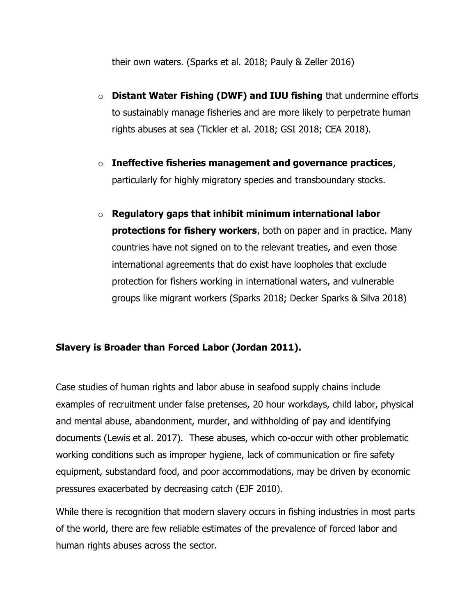their own waters. (Sparks et al. 2018; Pauly & Zeller 2016)

- o **Distant Water Fishing (DWF) and IUU fishing** that undermine efforts to sustainably manage fisheries and are more likely to perpetrate human rights abuses at sea (Tickler et al. 2018; GSI 2018; CEA 2018).
- o **Ineffective fisheries management and governance practices**, particularly for highly migratory species and transboundary stocks.
- o **Regulatory gaps that inhibit minimum international labor protections for fishery workers**, both on paper and in practice. Many countries have not signed on to the relevant treaties, and even those international agreements that do exist have loopholes that exclude protection for fishers working in international waters, and vulnerable groups like migrant workers (Sparks 2018; Decker Sparks & Silva 2018)

# **Slavery is Broader than Forced Labor (Jordan 2011).**

Case studies of human rights and labor abuse in seafood supply chains include examples of recruitment under false pretenses, 20 hour workdays, child labor, physical and mental abuse, abandonment, murder, and withholding of pay and identifying documents (Lewis et al. 2017). These abuses, which co-occur with other problematic working conditions such as improper hygiene, lack of communication or fire safety equipment, substandard food, and poor accommodations, may be driven by economic pressures exacerbated by decreasing catch (EJF 2010).

While there is recognition that modern slavery occurs in fishing industries in most parts of the world, there are few reliable estimates of the prevalence of forced labor and human rights abuses across the sector.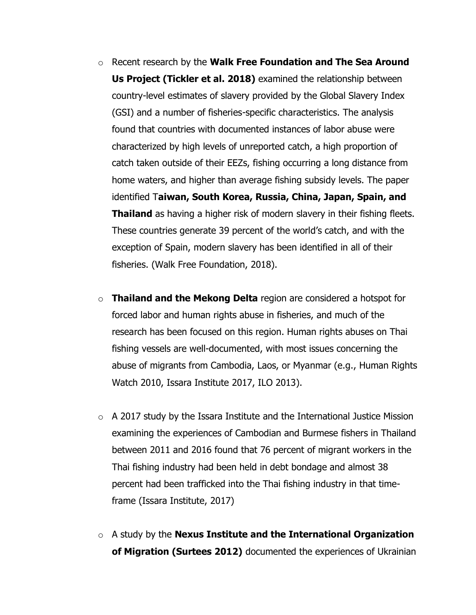- o Recent research by the **Walk Free Foundation and The Sea Around Us Project (Tickler et al. 2018)** examined the relationship between country-level estimates of slavery provided by the Global Slavery Index (GSI) and a number of fisheries-specific characteristics. The analysis found that countries with documented instances of labor abuse were characterized by high levels of unreported catch, a high proportion of catch taken outside of their EEZs, fishing occurring a long distance from home waters, and higher than average fishing subsidy levels. The paper identified T**aiwan, South Korea, Russia, China, Japan, Spain, and Thailand** as having a higher risk of modern slavery in their fishing fleets. These countries generate 39 percent of the world's catch, and with the exception of Spain, modern slavery has been identified in all of their fisheries. (Walk Free Foundation, 2018).
- o **Thailand and the Mekong Delta** region are considered a hotspot for forced labor and human rights abuse in fisheries, and much of the research has been focused on this region. Human rights abuses on Thai fishing vessels are well-documented, with most issues concerning the abuse of migrants from Cambodia, Laos, or Myanmar (e.g., Human Rights Watch 2010, Issara Institute 2017, ILO 2013).
- $\circ$  A 2017 study by the Issara Institute and the International Justice Mission examining the experiences of Cambodian and Burmese fishers in Thailand between 2011 and 2016 found that 76 percent of migrant workers in the Thai fishing industry had been held in debt bondage and almost 38 percent had been trafficked into the Thai fishing industry in that timeframe (Issara Institute, 2017)
- o A study by the **Nexus Institute and the International Organization of Migration (Surtees 2012)** documented the experiences of Ukrainian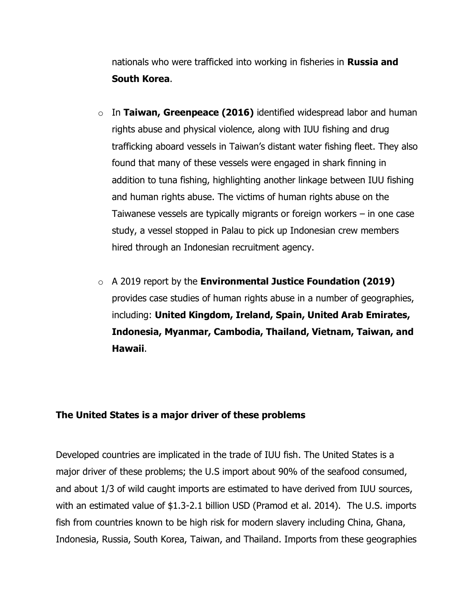nationals who were trafficked into working in fisheries in **Russia and South Korea**.

- o In **Taiwan, Greenpeace (2016)** identified widespread labor and human rights abuse and physical violence, along with IUU fishing and drug trafficking aboard vessels in Taiwan's distant water fishing fleet. They also found that many of these vessels were engaged in shark finning in addition to tuna fishing, highlighting another linkage between IUU fishing and human rights abuse. The victims of human rights abuse on the Taiwanese vessels are typically migrants or foreign workers – in one case study, a vessel stopped in Palau to pick up Indonesian crew members hired through an Indonesian recruitment agency.
- o A 2019 report by the **Environmental Justice Foundation (2019)**  provides case studies of human rights abuse in a number of geographies, including: **United Kingdom, Ireland, Spain, United Arab Emirates, Indonesia, Myanmar, Cambodia, Thailand, Vietnam, Taiwan, and Hawaii**.

## **The United States is a major driver of these problems**

Developed countries are implicated in the trade of IUU fish. The United States is a major driver of these problems; the U.S import about 90% of the seafood consumed, and about 1/3 of wild caught imports are estimated to have derived from IUU sources, with an estimated value of \$1.3-2.1 billion USD (Pramod et al. 2014). The U.S. imports fish from countries known to be high risk for modern slavery including China, Ghana, Indonesia, Russia, South Korea, Taiwan, and Thailand. Imports from these geographies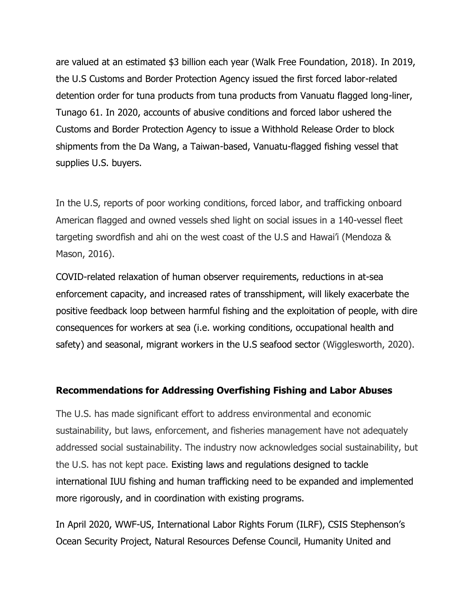are valued at an estimated \$3 billion each year (Walk Free Foundation, 2018). In 2019, the U.S Customs and Border Protection Agency issued the first forced labor-related detention order for tuna products from tuna products from Vanuatu flagged long-liner, Tunago 61. In 2020, accounts of abusive conditions and forced labor ushered the Customs and Border Protection Agency to issue a Withhold Release Order to block shipments from the Da Wang, a Taiwan-based, Vanuatu-flagged fishing vessel that supplies U.S. buyers.

In the U.S, reports of poor working conditions, forced labor, and trafficking onboard American flagged and owned vessels shed light on social issues in a 140-vessel fleet targeting swordfish and ahi on the west coast of the U.S and Hawai'i (Mendoza & Mason, 2016).

COVID-related relaxation of human observer requirements, reductions in at-sea enforcement capacity, and increased rates of transshipment, will likely exacerbate the positive feedback loop between harmful fishing and the exploitation of people, with dire consequences for workers at sea (i.e. working conditions, occupational health and safety) and seasonal, migrant workers in the U.S seafood sector (Wigglesworth, 2020).

#### **Recommendations for Addressing Overfishing Fishing and Labor Abuses**

The U.S. has made significant effort to address environmental and economic sustainability, but laws, enforcement, and fisheries management have not adequately addressed social sustainability. The industry now acknowledges social sustainability, but the U.S. has not kept pace. Existing laws and regulations designed to tackle international IUU fishing and human trafficking need to be expanded and implemented more rigorously, and in coordination with existing programs.

In April 2020, WWF-US, International Labor Rights Forum (ILRF), CSIS Stephenson's Ocean Security Project, Natural Resources Defense Council, Humanity United and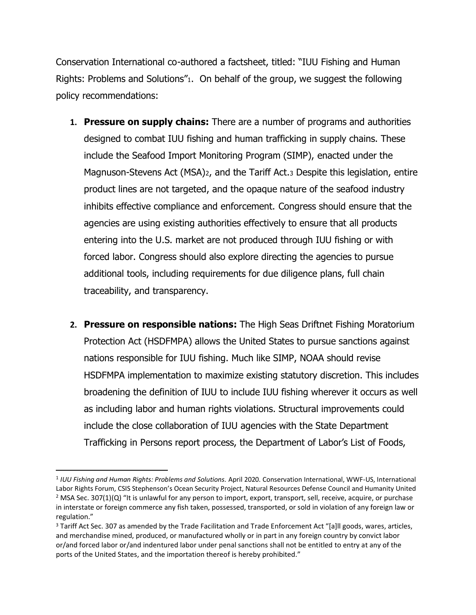Conservation International co-authored a factsheet, titled: "IUU Fishing and Human Rights: Problems and Solutions"1. On behalf of the group, we suggest the following policy recommendations:

- **1. Pressure on supply chains:** There are a number of programs and authorities designed to combat IUU fishing and human trafficking in supply chains. These include the Seafood Import Monitoring Program (SIMP), enacted under the Magnuson-Stevens Act (MSA)2, and the Tariff Act.<sup>3</sup> Despite this legislation, entire product lines are not targeted, and the opaque nature of the seafood industry inhibits effective compliance and enforcement. Congress should ensure that the agencies are using existing authorities effectively to ensure that all products entering into the U.S. market are not produced through IUU fishing or with forced labor. Congress should also explore directing the agencies to pursue additional tools, including requirements for due diligence plans, full chain traceability, and transparency.
- **2. Pressure on responsible nations:** The High Seas Driftnet Fishing Moratorium Protection Act (HSDFMPA) allows the United States to pursue sanctions against nations responsible for IUU fishing. Much like SIMP, NOAA should revise HSDFMPA implementation to maximize existing statutory discretion. This includes broadening the definition of IUU to include IUU fishing wherever it occurs as well as including labor and human rights violations. Structural improvements could include the close collaboration of IUU agencies with the State Department Trafficking in Persons report process, the Department of Labor's List of Foods,

<sup>1</sup> *IUU Fishing and Human Rights: Problems and Solutions.* April 2020. Conservation International, WWF-US, International Labor Rights Forum, CSIS Stephenson's Ocean Security Project, Natural Resources Defense Council and Humanity United <sup>2</sup> MSA Sec. 307(1)(Q) "It is unlawful for any person to import, export, transport, sell, receive, acquire, or purchase in interstate or foreign commerce any fish taken, possessed, transported, or sold in violation of any foreign law or regulation."

<sup>&</sup>lt;sup>3</sup> Tariff Act Sec. 307 as amended by the Trade Facilitation and Trade Enforcement Act "[a]Il goods, wares, articles, and merchandise mined, produced, or manufactured wholly or in part in any foreign country by convict labor or/and forced labor or/and indentured labor under penal sanctions shall not be entitled to entry at any of the ports of the United States, and the importation thereof is hereby prohibited."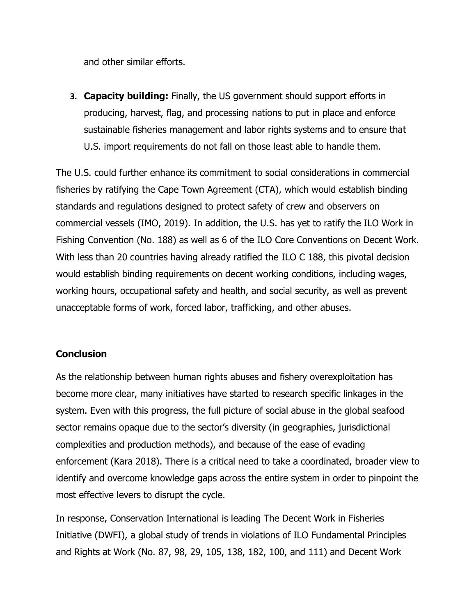and other similar efforts.

**3. Capacity building:** Finally, the US government should support efforts in producing, harvest, flag, and processing nations to put in place and enforce sustainable fisheries management and labor rights systems and to ensure that U.S. import requirements do not fall on those least able to handle them.

The U.S. could further enhance its commitment to social considerations in commercial fisheries by ratifying the Cape Town Agreement (CTA), which would establish binding standards and regulations designed to protect safety of crew and observers on commercial vessels (IMO, 2019). In addition, the U.S. has yet to ratify the ILO Work in Fishing Convention (No. 188) as well as 6 of the ILO Core Conventions on Decent Work. With less than 20 countries having already ratified the ILO C 188, this pivotal decision would establish binding requirements on decent working conditions, including wages, working hours, occupational safety and health, and social security, as well as prevent unacceptable forms of work, forced labor, trafficking, and other abuses.

# **Conclusion**

As the relationship between human rights abuses and fishery overexploitation has become more clear, many initiatives have started to research specific linkages in the system. Even with this progress, the full picture of social abuse in the global seafood sector remains opaque due to the sector's diversity (in geographies, jurisdictional complexities and production methods), and because of the ease of evading enforcement (Kara 2018). There is a critical need to take a coordinated, broader view to identify and overcome knowledge gaps across the entire system in order to pinpoint the most effective levers to disrupt the cycle.

In response, Conservation International is leading The Decent Work in Fisheries Initiative (DWFI), a global study of trends in violations of ILO Fundamental Principles and Rights at Work (No. 87, 98, 29, 105, 138, 182, 100, and 111) and Decent Work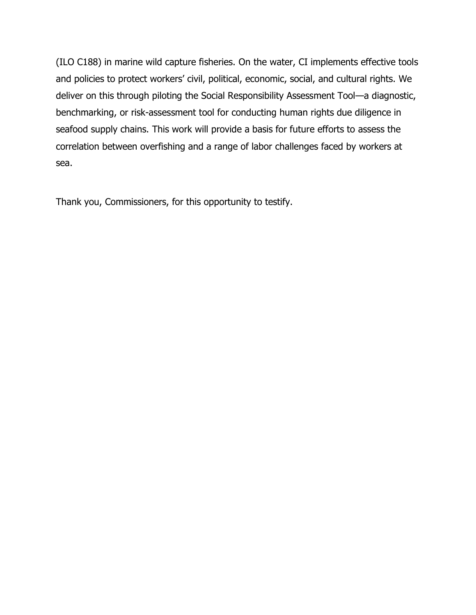(ILO C188) in marine wild capture fisheries. On the water, CI implements effective tools and policies to protect workers' civil, political, economic, social, and cultural rights. We deliver on this through piloting the Social Responsibility Assessment Tool—a diagnostic, benchmarking, or risk-assessment tool for conducting human rights due diligence in seafood supply chains. This work will provide a basis for future efforts to assess the correlation between overfishing and a range of labor challenges faced by workers at sea.

Thank you, Commissioners, for this opportunity to testify.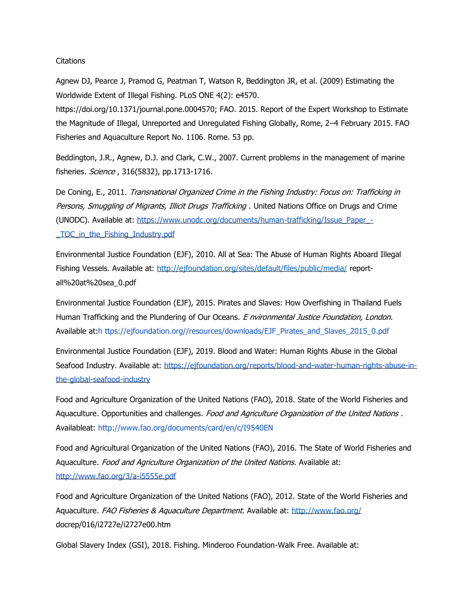#### **Citations**

Agnew DJ, Pearce J, Pramod G, Peatman T, Watson R, Beddington JR, et al. (2009) Estimating the Worldwide Extent of Illegal Fishing. PLoS ONE 4(2): e4570.

https://doi.org/10.1371/journal.pone.0004570; FAO. 2015. Report of the Expert Workshop to Estimate the Magnitude of Illegal, Unreported and Unregulated Fishing Globally, Rome, 2–4 February 2015. FAO Fisheries and Aquaculture Report No. 1106. Rome. 53 pp.

Beddington, J.R., Agnew, D.J. and Clark, C.W., 2007. Current problems in the management of marine fisheries. Science, 316(5832), pp.1713-1716.

De Coning, E., 2011. Transnational Organized Crime in the Fishing Industry: Focus on: Trafficking in Persons, Smuggling of Migrants, Illicit Drugs Trafficking . United Nations Office on Drugs and Crime (UNODC). Available at: [https://www.unodc.org/documents/human-trafficking/Issue\\_Paper\\_-](https://www.unodc.org/documents/human-trafficking/Issue_Paper_-_TOC_in_the_Fishing_Industry.pdf) [\\_TOC\\_in\\_the\\_Fishing\\_Industry.pdf](https://www.unodc.org/documents/human-trafficking/Issue_Paper_-_TOC_in_the_Fishing_Industry.pdf)

Environmental Justice Foundation (EJF), 2010. All at Sea: The Abuse of Human Rights Aboard Illegal Fishing Vessels. Available at:<http://ejfoundation.org/sites/default/files/public/media/> reportall%20at%20sea\_0.pdf

Environmental Justice Foundation (EJF), 2015. Pirates and Slaves: How Overfishing in Thailand Fuels Human Trafficking and the Plundering of Our Oceans. E nvironmental Justice Foundation, London. Available at:h ttps://ejfoundation.org//resources/downloads/EJF\_Pirates\_and\_Slaves\_2015\_0.pdf

Environmental Justice Foundation (EJF), 2019. Blood and Water: Human Rights Abuse in the Global Seafood Industry. Available at: [https://ejfoundation.org/reports/blood-and-water-human-rights-abuse-in](https://ejfoundation.org/reports/blood-and-water-human-rights-abuse-in-the-global-seafood-industry)[the-global-seafood-industry](https://ejfoundation.org/reports/blood-and-water-human-rights-abuse-in-the-global-seafood-industry)

Food and Agriculture Organization of the United Nations (FAO), 2018. State of the World Fisheries and Aquaculture. Opportunities and challenges. Food and Agriculture Organization of the United Nations. Availableat: http://www.fao.org/documents/card/en/c/I9540EN

Food and Agricultural Organization of the United Nations (FAO), 2016. The State of World Fisheries and Aquaculture. Food and Agriculture Organization of the United Nations. Available at: <http://www.fao.org/3/a-i5555e.pdf>

Food and Agriculture Organization of the United Nations (FAO), 2012. State of the World Fisheries and Aquaculture. FAO Fisheries & Aquaculture Department. Available at:<http://www.fao.org/> docrep/016/i2727e/i2727e00.htm

Global Slavery Index (GSI), 2018. Fishing. Minderoo Foundation-Walk Free. Available at: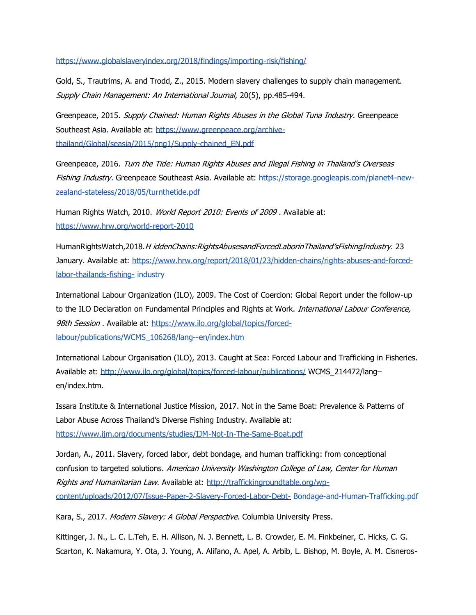<https://www.globalslaveryindex.org/2018/findings/importing-risk/fishing/>

Gold, S., Trautrims, A. and Trodd, Z., 2015. Modern slavery challenges to supply chain management. Supply Chain Management: An International Journal, 20(5), pp.485-494.

Greenpeace, 2015. Supply Chained: Human Rights Abuses in the Global Tuna Industry. Greenpeace Southeast Asia. Available at: [https://www.greenpeace.org/archive](https://www.greenpeace.org/archive-thailand/Global/seasia/2015/png1/Supply-chained_EN.pdf)[thailand/Global/seasia/2015/png1/Supply-chained\\_EN.pdf](https://www.greenpeace.org/archive-thailand/Global/seasia/2015/png1/Supply-chained_EN.pdf)

Greenpeace, 2016. Turn the Tide: Human Rights Abuses and Illegal Fishing in Thailand's Overseas Fishing Industry. Greenpeace Southeast Asia. Available at: [https://storage.googleapis.com/planet4-new](https://storage.googleapis.com/planet4-new-zealand-stateless/2018/05/turnthetide.pdf)[zealand-stateless/2018/05/turnthetide.pdf](https://storage.googleapis.com/planet4-new-zealand-stateless/2018/05/turnthetide.pdf)

Human Rights Watch, 2010. World Report 2010: Events of 2009. Available at: <https://www.hrw.org/world-report-2010>

HumanRightsWatch,2018.H iddenChains:RightsAbusesandForcedLaborinThailand'sFishingIndustry. 23 January. Available at: [https://www.hrw.org/report/2018/01/23/hidden-chains/rights-abuses-and-forced](https://www.hrw.org/report/2018/01/23/hidden-chains/rights-abuses-and-forced-labor-thailands-fishing-)[labor-thailands-fishing-](https://www.hrw.org/report/2018/01/23/hidden-chains/rights-abuses-and-forced-labor-thailands-fishing-) industry

International Labour Organization (ILO), 2009. The Cost of Coercion: Global Report under the follow-up to the ILO Declaration on Fundamental Principles and Rights at Work. *International Labour Conference*, 98th Session . Available at: [https://www.ilo.org/global/topics/forced](https://www.ilo.org/global/topics/forced-labour/publications/WCMS_106268/lang--en/index.htm)[labour/publications/WCMS\\_106268/lang--en/index.htm](https://www.ilo.org/global/topics/forced-labour/publications/WCMS_106268/lang--en/index.htm)

International Labour Organisation (ILO), 2013. Caught at Sea: Forced Labour and Trafficking in Fisheries. Available at:<http://www.ilo.org/global/topics/forced-labour/publications/> WCMS\_214472/lang– en/index.htm.

Issara Institute & International Justice Mission, 2017. Not in the Same Boat: Prevalence & Patterns of Labor Abuse Across Thailand's Diverse Fishing Industry. Available at: <https://www.ijm.org/documents/studies/IJM-Not-In-The-Same-Boat.pdf>

Jordan, A., 2011. Slavery, forced labor, debt bondage, and human trafficking: from conceptional confusion to targeted solutions. American University Washington College of Law, Center for Human Rights and Humanitarian Law. Available at: [http://traffickingroundtable.org/wp](http://traffickingroundtable.org/wp-content/uploads/2012/07/Issue-Paper-2-Slavery-Forced-Labor-Debt-)[content/uploads/2012/07/Issue-Paper-2-Slavery-Forced-Labor-Debt-](http://traffickingroundtable.org/wp-content/uploads/2012/07/Issue-Paper-2-Slavery-Forced-Labor-Debt-) Bondage-and-Human-Trafficking.pdf

Kara, S., 2017. Modern Slavery: A Global Perspective. Columbia University Press.

Kittinger, J. N., L. C. L.Teh, E. H. Allison, N. J. Bennett, L. B. Crowder, E. M. Finkbeiner, C. Hicks, C. G. Scarton, K. Nakamura, Y. Ota, J. Young, A. Alifano, A. Apel, A. Arbib, L. Bishop, M. Boyle, A. M. Cisneros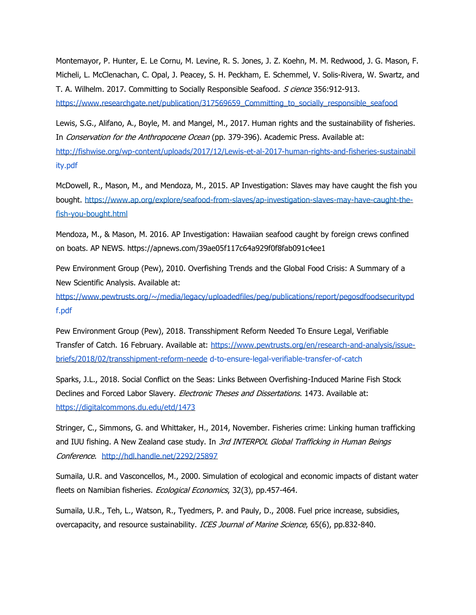Montemayor, P. Hunter, E. Le Cornu, M. Levine, R. S. Jones, J. Z. Koehn, M. M. Redwood, J. G. Mason, F. Micheli, L. McClenachan, C. Opal, J. Peacey, S. H. Peckham, E. Schemmel, V. Solis-Rivera, W. Swartz, and T. A. Wilhelm. 2017. Committing to Socially Responsible Seafood. S cience 356:912-913. [https://www.researchgate.net/publication/317569659\\_Committing\\_to\\_socially\\_responsible\\_seafood](https://www.researchgate.net/publication/317569659_Committing_to_socially_responsible_seafood)

Lewis, S.G., Alifano, A., Boyle, M. and Mangel, M., 2017. Human rights and the sustainability of fisheries. In Conservation for the Anthropocene Ocean (pp. 379-396). Academic Press. Available at: <http://fishwise.org/wp-content/uploads/2017/12/Lewis-et-al-2017-human-rights-and-fisheries-sustainabil> ity.pdf

McDowell, R., Mason, M., and Mendoza, M., 2015. AP Investigation: Slaves may have caught the fish you bought. [https://www.ap.org/explore/seafood-from-slaves/ap-investigation-slaves-may-have-caught-the](https://www.ap.org/explore/seafood-from-slaves/ap-investigation-slaves-may-have-caught-the-fish-you-bought.html)[fish-you-bought.html](https://www.ap.org/explore/seafood-from-slaves/ap-investigation-slaves-may-have-caught-the-fish-you-bought.html)

Mendoza, M., & Mason, M. 2016. AP Investigation: Hawaiian seafood caught by foreign crews confined on boats. AP NEWS. https://apnews.com/39ae05f117c64a929f0f8fab091c4ee1

Pew Environment Group (Pew), 2010. Overfishing Trends and the Global Food Crisis: A Summary of a New Scientific Analysis. Available at:

<https://www.pewtrusts.org/~/media/legacy/uploadedfiles/peg/publications/report/pegosdfoodsecuritypd> f.pdf

Pew Environment Group (Pew), 2018. Transshipment Reform Needed To Ensure Legal, Verifiable Transfer of Catch. 16 February. Available at: [https://www.pewtrusts.org/en/research-and-analysis/issue](https://www.pewtrusts.org/en/research-and-analysis/issue-briefs/2018/02/transshipment-reform-neede)[briefs/2018/02/transshipment-reform-neede](https://www.pewtrusts.org/en/research-and-analysis/issue-briefs/2018/02/transshipment-reform-neede) d-to-ensure-legal-verifiable-transfer-of-catch

Sparks, J.L., 2018. Social Conflict on the Seas: Links Between Overfishing-Induced Marine Fish Stock Declines and Forced Labor Slavery. Electronic Theses and Dissertations. 1473. Available at: <https://digitalcommons.du.edu/etd/1473>

Stringer, C., Simmons, G. and Whittaker, H., 2014, November. Fisheries crime: Linking human trafficking and IUU fishing. A New Zealand case study. In *3rd INTERPOL Global Trafficking in Human Beings* Conference. <http://hdl.handle.net/2292/25897>

Sumaila, U.R. and Vasconcellos, M., 2000. Simulation of ecological and economic impacts of distant water fleets on Namibian fisheries. Ecological Economics, 32(3), pp.457-464.

Sumaila, U.R., Teh, L., Watson, R., Tyedmers, P. and Pauly, D., 2008. Fuel price increase, subsidies, overcapacity, and resource sustainability. ICES Journal of Marine Science, 65(6), pp.832-840.